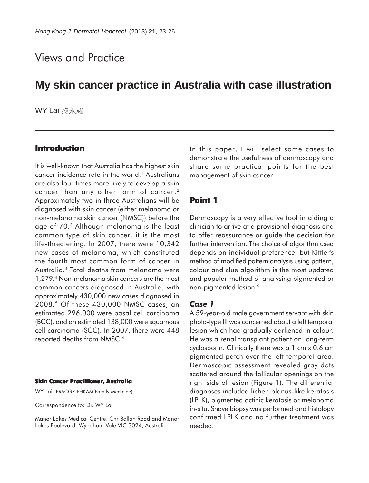# Views and Practice

# **My skin cancer practice in Australia with case illustration**

WY Lai 黎永耀

### **Introduction**

It is well-known that Australia has the highest skin cancer incidence rate in the world.<sup>1</sup> Australians are also four times more likely to develop a skin cancer than any other form of cancer.<sup>2</sup> Approximately two in three Australians will be diagnosed with skin cancer (either melanoma or non-melanoma skin cancer (NMSC)) before the age of 70.3 Although melanoma is the least common type of skin cancer, it is the most life-threatening. In 2007, there were 10,342 new cases of melanoma, which constituted the fourth most common form of cancer in Australia.4 Total deaths from melanoma were 1,279.4 Non-melanoma skin cancers are the most common cancers diagnosed in Australia, with approximately 430,000 new cases diagnosed in 2008.5 Of these 430,000 NMSC cases, an estimated 296,000 were basal cell carcinoma (BCC), and an estimated 138,000 were squamous cell carcinoma (SCC). In 2007, there were 448 reported deaths from NMSC.4

#### **Skin Cancer Practitioner, Australia**

WY Lai, FRACGP, FHKAM(Family Medicine)

Correspondence to: Dr. WY Lai

Manor Lakes Medical Centre, Cnr Ballan Road and Manor Lakes Boulevard, Wyndham Vale VIC 3024, Australia

In this paper, I will select some cases to demonstrate the usefulness of dermoscopy and share some practical points for the best management of skin cancer.

### **Point 1**

Dermoscopy is a very effective tool in aiding a clinician to arrive at a provisional diagnosis and to offer reassurance or guide the decision for further intervention. The choice of algorithm used depends on individual preference, but Kittler's method of modified pattern analysis using pattern, colour and clue algorithm is the most updated and popular method of analysing pigmented or non-pigmented lesion.6

#### *Case 1*

A 59-year-old male government servant with skin photo-type III was concerned about a left temporal lesion which had gradually darkened in colour. He was a renal transplant patient on long-term cyclosporin. Clinically there was a 1 cm x 0.6 cm pigmented patch over the left temporal area. Dermoscopic assessment revealed gray dots scattered around the follicular openings on the right side of lesion (Figure 1). The differential diagnoses included lichen planus-like keratosis (LPLK), pigmented actinic keratosis or melanoma in-situ. Shave biopsy was performed and histology confirmed LPLK and no further treatment was needed.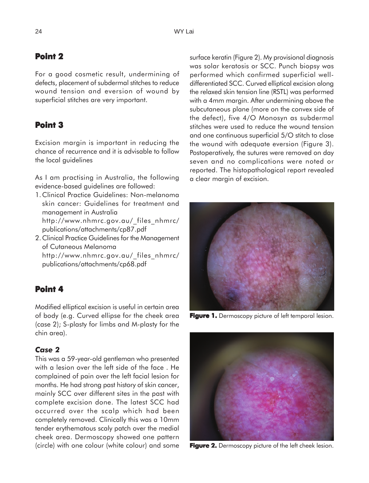# **Point 2**

For a good cosmetic result, undermining of defects, placement of subdermal stitches to reduce wound tension and eversion of wound by superficial stitches are very important.

# **Point 3**

Excision margin is important in reducing the chance of recurrence and it is advisable to follow the local guidelines

As I am practising in Australia, the following evidence-based guidelines are followed:

1.Clinical Practice Guidelines: Non-melanoma skin cancer: Guidelines for treatment and management in Australia http://www.nhmrc.gov.au/\_files\_nhmrc/

publications/attachments/cp87.pdf

2.Clinical Practice Guidelines for the Management of Cutaneous Melanoma http://www.nhmrc.gov.au/\_files\_nhmrc/ publications/attachments/cp68.pdf

## **Point 4**

Modified elliptical excision is useful in certain area of body (e.g. Curved ellipse for the cheek area (case 2); S-plasty for limbs and M-plasty for the chin area).

#### *Case 2*

This was a 59-year-old gentleman who presented with a lesion over the left side of the face . He complained of pain over the left facial lesion for months. He had strong past history of skin cancer, mainly SCC over different sites in the past with complete excision done. The latest SCC had occurred over the scalp which had been completely removed. Clinically this was a 10mm tender erythematous scaly patch over the medial cheek area. Dermoscopy showed one pattern (circle) with one colour (white colour) and some

surface keratin (Figure 2). My provisional diagnosis was solar keratosis or SCC. Punch biopsy was performed which confirmed superficial welldifferentiated SCC. Curved elliptical excision along the relaxed skin tension line (RSTL) was performed with a 4mm margin. After undermining above the subcutaneous plane (more on the convex side of the defect), five 4/O Monosyn as subdermal stitches were used to reduce the wound tension and one continuous superficial 5/O stitch to close the wound with adequate eversion (Figure 3). Postoperatively, the sutures were removed on day seven and no complications were noted or reported. The histopathological report revealed a clear margin of excision.



Figure 1. Dermoscopy picture of left temporal lesion.



**Figure 2.** Dermoscopy picture of the left cheek lesion.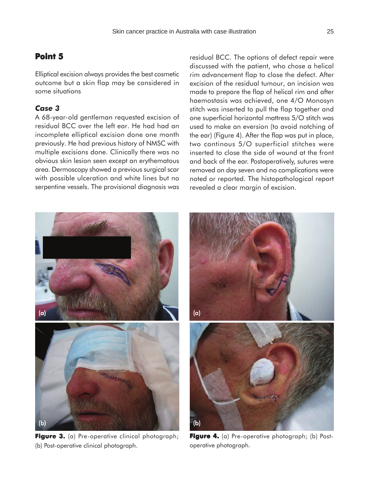## **Point 5**

Elliptical excision always provides the best cosmetic outcome but a skin flap may be considered in some situations

### *Case 3*

A 68-year-old gentleman requested excision of residual BCC over the left ear. He had had an incomplete elliptical excision done one month previously. He had previous history of NMSC with multiple excisions done. Clinically there was no obvious skin lesion seen except an erythematous area. Dermoscopy showed a previous surgical scar with possible ulceration and white lines but no serpentine vessels. The provisional diagnosis was

residual BCC. The options of defect repair were discussed with the patient, who chose a helical rim advancement flap to close the defect. After excision of the residual tumour, an incision was made to prepare the flap of helical rim and after haemostasis was achieved, one 4/O Monosyn stitch was inserted to pull the flap together and one superficial horizontal mattress 5/O stitch was used to make an eversion (to avoid notching of the ear) (Figure 4). After the flap was put in place, two continous 5/O superficial stitches were inserted to close the side of wound at the front and back of the ear. Postoperatively, sutures were removed on day seven and no complications were noted or reported. The histopathological report revealed a clear margin of excision.



Figure 3. (a) Pre-operative clinical photograph; (b) Post-operative clinical photograph.



**Figure 4.** (a) Pre-operative photograph; (b) Postoperative photograph.